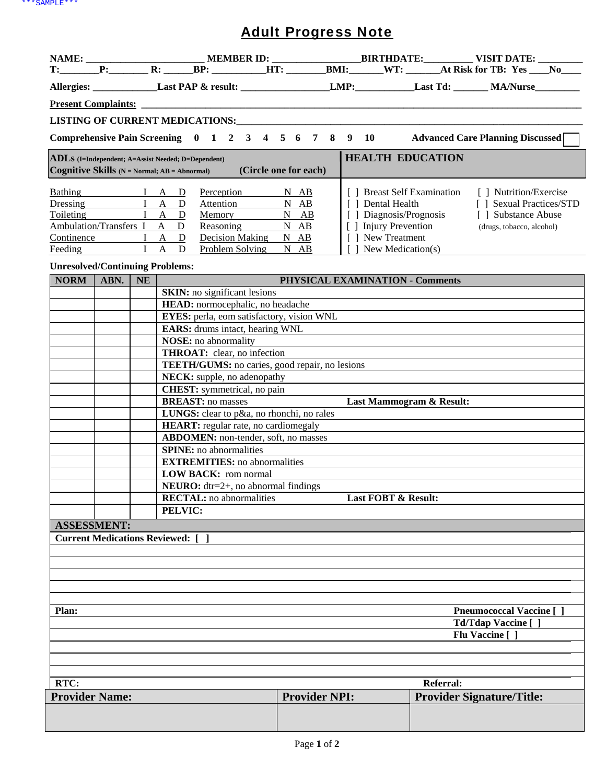## Adult Progress Note

|                                                                                                                                                                                                                       |                 |           |                                                        |                                                                                     |                                     |                      |                                                                                                             |                            |                                                                                                        |                                 | Allergies: Last PAP & result: LMP: Last Td: MA/Nurse                                 |
|-----------------------------------------------------------------------------------------------------------------------------------------------------------------------------------------------------------------------|-----------------|-----------|--------------------------------------------------------|-------------------------------------------------------------------------------------|-------------------------------------|----------------------|-------------------------------------------------------------------------------------------------------------|----------------------------|--------------------------------------------------------------------------------------------------------|---------------------------------|--------------------------------------------------------------------------------------|
|                                                                                                                                                                                                                       |                 |           |                                                        |                                                                                     |                                     |                      |                                                                                                             |                            |                                                                                                        |                                 |                                                                                      |
|                                                                                                                                                                                                                       |                 |           |                                                        |                                                                                     |                                     |                      |                                                                                                             |                            |                                                                                                        |                                 |                                                                                      |
|                                                                                                                                                                                                                       |                 |           |                                                        |                                                                                     |                                     |                      |                                                                                                             |                            |                                                                                                        |                                 | Comprehensive Pain Screening 0 1 2 3 4 5 6 7 8 9 10 Advanced Care Planning Discussed |
|                                                                                                                                                                                                                       |                 |           |                                                        |                                                                                     |                                     |                      |                                                                                                             |                            |                                                                                                        |                                 |                                                                                      |
| <b>HEALTH EDUCATION</b><br><b>ADLs</b> (I=Independent; A=Assist Needed; D=Dependent)<br>Cognitive Skills (N = Normal; AB = Abnormal)<br>(Circle one for each)                                                         |                 |           |                                                        |                                                                                     |                                     |                      |                                                                                                             |                            |                                                                                                        |                                 |                                                                                      |
| Bathing I A D<br>Perception<br>Dressing I A D<br>Attention<br>Toileting I A D<br>Memory<br>Ambulation/Transfers I A D<br>Reasoning<br>Continence I A D<br>Decision Making N AB<br>I A D<br>Problem Solving<br>Feeding |                 |           |                                                        | $N$ AB<br>N AB<br>$N$ $AB$<br>N AB<br>$N$ $AB$                                      |                                     |                      | [ ] Dental Health<br>Diagnosis/Prognosis<br>[ ] Injury Prevention<br>[ ] New Treatment<br>New Medication(s) | [] Breast Self Examination | [ ] Nutrition/Exercise<br>[ ] Sexual Practices/STD<br>[ ] Substance Abuse<br>(drugs, tobacco, alcohol) |                                 |                                                                                      |
| <b>Unresolved/Continuing Problems:</b>                                                                                                                                                                                |                 |           |                                                        |                                                                                     |                                     |                      |                                                                                                             |                            |                                                                                                        |                                 |                                                                                      |
| <b>NORM</b>                                                                                                                                                                                                           | ABN.            | <b>NE</b> |                                                        |                                                                                     |                                     |                      |                                                                                                             |                            |                                                                                                        | PHYSICAL EXAMINATION - Comments |                                                                                      |
|                                                                                                                                                                                                                       |                 |           |                                                        |                                                                                     | <b>SKIN:</b> no significant lesions |                      |                                                                                                             |                            |                                                                                                        |                                 |                                                                                      |
|                                                                                                                                                                                                                       |                 |           |                                                        |                                                                                     | HEAD: normocephalic, no headache    |                      |                                                                                                             |                            |                                                                                                        |                                 |                                                                                      |
|                                                                                                                                                                                                                       |                 |           |                                                        | EYES: perla, eom satisfactory, vision WNL<br><b>EARS:</b> drums intact, hearing WNL |                                     |                      |                                                                                                             |                            |                                                                                                        |                                 |                                                                                      |
|                                                                                                                                                                                                                       |                 |           |                                                        | <b>NOSE:</b> no abnormality                                                         |                                     |                      |                                                                                                             |                            |                                                                                                        |                                 |                                                                                      |
|                                                                                                                                                                                                                       |                 |           |                                                        |                                                                                     | <b>THROAT:</b> clear, no infection  |                      |                                                                                                             |                            |                                                                                                        |                                 |                                                                                      |
|                                                                                                                                                                                                                       |                 |           |                                                        | TEETH/GUMS: no caries, good repair, no lesions<br>NECK: supple, no adenopathy       |                                     |                      |                                                                                                             |                            |                                                                                                        |                                 |                                                                                      |
|                                                                                                                                                                                                                       |                 |           |                                                        |                                                                                     | <b>CHEST:</b> symmetrical, no pain  |                      |                                                                                                             |                            |                                                                                                        |                                 |                                                                                      |
|                                                                                                                                                                                                                       |                 |           |                                                        | <b>BREAST:</b> no masses                                                            |                                     |                      |                                                                                                             |                            |                                                                                                        | Last Mammogram & Result:        |                                                                                      |
|                                                                                                                                                                                                                       |                 |           |                                                        | LUNGS: clear to p&a, no rhonchi, no rales                                           |                                     |                      |                                                                                                             |                            |                                                                                                        |                                 |                                                                                      |
|                                                                                                                                                                                                                       |                 |           |                                                        | <b>HEART:</b> regular rate, no cardiomegaly                                         |                                     |                      |                                                                                                             |                            |                                                                                                        |                                 |                                                                                      |
|                                                                                                                                                                                                                       |                 |           |                                                        | <b>ABDOMEN:</b> non-tender, soft, no masses                                         |                                     |                      |                                                                                                             |                            |                                                                                                        |                                 |                                                                                      |
|                                                                                                                                                                                                                       |                 |           |                                                        | <b>SPINE:</b> no abnormalities                                                      |                                     |                      |                                                                                                             |                            |                                                                                                        |                                 |                                                                                      |
|                                                                                                                                                                                                                       |                 |           |                                                        | <b>EXTREMITIES:</b> no abnormalities<br><b>LOW BACK:</b> rom normal                 |                                     |                      |                                                                                                             |                            |                                                                                                        |                                 |                                                                                      |
|                                                                                                                                                                                                                       |                 |           |                                                        | <b>NEURO:</b> $dtr=2+$ , no abnormal findings                                       |                                     |                      |                                                                                                             |                            |                                                                                                        |                                 |                                                                                      |
|                                                                                                                                                                                                                       |                 |           | <b>RECTAL:</b> no abnormalities<br>Last FOBT & Result: |                                                                                     |                                     |                      |                                                                                                             |                            |                                                                                                        |                                 |                                                                                      |
|                                                                                                                                                                                                                       |                 |           | PELVIC:                                                |                                                                                     |                                     |                      |                                                                                                             |                            |                                                                                                        |                                 |                                                                                      |
| <b>ASSESSMENT:</b>                                                                                                                                                                                                    |                 |           |                                                        |                                                                                     |                                     |                      |                                                                                                             |                            |                                                                                                        |                                 |                                                                                      |
| <b>Current Medications Reviewed:</b> [                                                                                                                                                                                |                 |           |                                                        |                                                                                     |                                     |                      |                                                                                                             |                            |                                                                                                        |                                 |                                                                                      |
|                                                                                                                                                                                                                       |                 |           |                                                        |                                                                                     |                                     |                      |                                                                                                             |                            |                                                                                                        |                                 |                                                                                      |
|                                                                                                                                                                                                                       |                 |           |                                                        |                                                                                     |                                     |                      |                                                                                                             |                            |                                                                                                        |                                 |                                                                                      |
|                                                                                                                                                                                                                       |                 |           |                                                        |                                                                                     |                                     |                      |                                                                                                             |                            |                                                                                                        |                                 |                                                                                      |
|                                                                                                                                                                                                                       |                 |           |                                                        |                                                                                     |                                     |                      |                                                                                                             |                            |                                                                                                        |                                 |                                                                                      |
| Plan:<br><b>Pneumococcal Vaccine</b> [ ]                                                                                                                                                                              |                 |           |                                                        |                                                                                     |                                     |                      |                                                                                                             |                            |                                                                                                        |                                 |                                                                                      |
|                                                                                                                                                                                                                       |                 |           |                                                        |                                                                                     |                                     | Td/Tdap Vaccine [ ]  |                                                                                                             |                            |                                                                                                        |                                 |                                                                                      |
|                                                                                                                                                                                                                       | Flu Vaccine [ ] |           |                                                        |                                                                                     |                                     |                      |                                                                                                             |                            |                                                                                                        |                                 |                                                                                      |
|                                                                                                                                                                                                                       |                 |           |                                                        |                                                                                     |                                     |                      |                                                                                                             |                            |                                                                                                        |                                 |                                                                                      |
|                                                                                                                                                                                                                       |                 |           |                                                        |                                                                                     |                                     |                      |                                                                                                             |                            |                                                                                                        |                                 |                                                                                      |
| RTC:                                                                                                                                                                                                                  |                 |           |                                                        |                                                                                     |                                     |                      |                                                                                                             | <b>Referral:</b>           |                                                                                                        |                                 |                                                                                      |
| <b>Provider Name:</b>                                                                                                                                                                                                 |                 |           |                                                        |                                                                                     |                                     | <b>Provider NPI:</b> |                                                                                                             |                            |                                                                                                        |                                 | <b>Provider Signature/Title:</b>                                                     |
|                                                                                                                                                                                                                       |                 |           |                                                        |                                                                                     |                                     |                      |                                                                                                             |                            |                                                                                                        |                                 |                                                                                      |